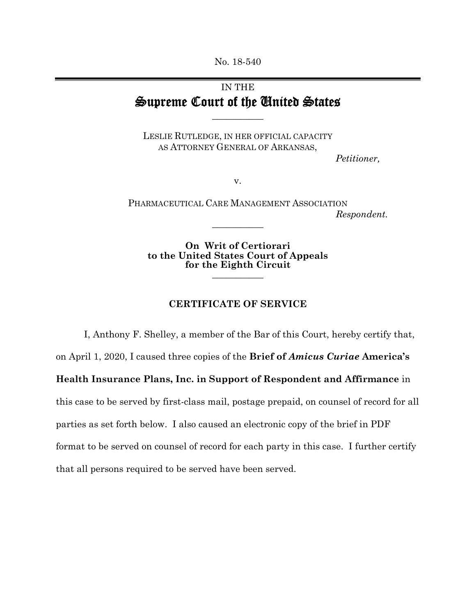No. 18-540

## IN THE Supreme Court of the United States

**\_\_\_\_\_\_\_\_\_\_\_** 

LESLIE RUTLEDGE, IN HER OFFICIAL CAPACITY AS ATTORNEY GENERAL OF ARKANSAS,

*Petitioner,* 

v.

PHARMACEUTICAL CARE MANAGEMENT ASSOCIATION *Respondent.* **\_\_\_\_\_\_\_\_\_\_\_** 

**On Writ of Certiorari to the United States Court of Appeals for the Eighth Circuit \_\_\_\_\_\_\_\_\_\_\_** 

## **CERTIFICATE OF SERVICE**

I, Anthony F. Shelley, a member of the Bar of this Court, hereby certify that,

on April 1, 2020, I caused three copies of the **Brief of** *Amicus Curiae* **America's** 

**Health Insurance Plans, Inc. in Support of Respondent and Affirmance** in

this case to be served by first-class mail, postage prepaid, on counsel of record for all

parties as set forth below. I also caused an electronic copy of the brief in PDF

format to be served on counsel of record for each party in this case. I further certify

that all persons required to be served have been served.